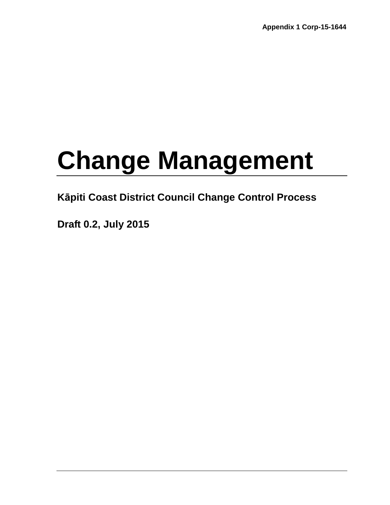# **Change Management**

# **Kāpiti Coast District Council Change Control Process**

**Draft 0.2, July 2015**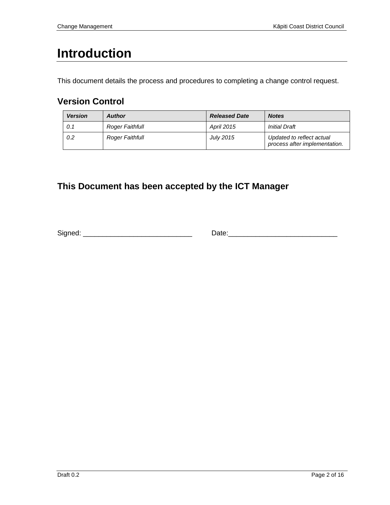# **Introduction**

This document details the process and procedures to completing a change control request.

# **Version Control**

| <b>Version</b> | <b>Author</b>   | <b>Released Date</b> | <b>Notes</b>                                               |
|----------------|-----------------|----------------------|------------------------------------------------------------|
| 0.1            | Roger Faithfull | April 2015           | <b>Initial Draft</b>                                       |
| 0.2            | Roger Faithfull | <b>July 2015</b>     | Updated to reflect actual<br>process after implementation. |

# **This Document has been accepted by the ICT Manager**

Signed: \_\_\_\_\_\_\_\_\_\_\_\_\_\_\_\_\_\_\_\_\_\_\_\_\_\_\_\_ Date:\_\_\_\_\_\_\_\_\_\_\_\_\_\_\_\_\_\_\_\_\_\_\_\_\_\_\_\_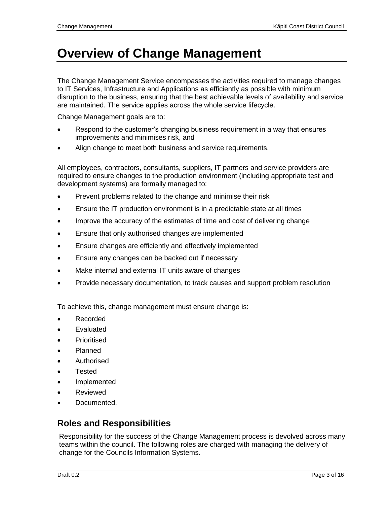# **Overview of Change Management**

The Change Management Service encompasses the activities required to manage changes to IT Services, Infrastructure and Applications as efficiently as possible with minimum disruption to the business, ensuring that the best achievable levels of availability and service are maintained. The service applies across the whole service lifecycle.

Change Management goals are to:

- Respond to the customer's changing business requirement in a way that ensures improvements and minimises risk, and
- Align change to meet both business and service requirements.

All employees, contractors, consultants, suppliers, IT partners and service providers are required to ensure changes to the production environment (including appropriate test and development systems) are formally managed to:

- Prevent problems related to the change and minimise their risk
- Ensure the IT production environment is in a predictable state at all times
- Improve the accuracy of the estimates of time and cost of delivering change
- Ensure that only authorised changes are implemented
- Ensure changes are efficiently and effectively implemented
- Ensure any changes can be backed out if necessary
- Make internal and external IT units aware of changes
- Provide necessary documentation, to track causes and support problem resolution

To achieve this, change management must ensure change is:

- Recorded
- Evaluated
- **Prioritised**
- Planned
- Authorised
- **Tested**
- Implemented
- Reviewed
- Documented.

#### **Roles and Responsibilities**

Responsibility for the success of the Change Management process is devolved across many teams within the council. The following roles are charged with managing the delivery of change for the Councils Information Systems.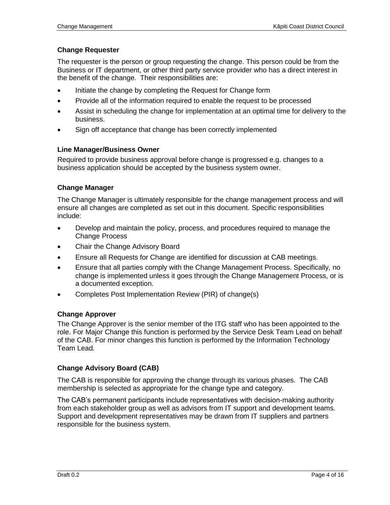#### **Change Requester**

The requester is the person or group requesting the change. This person could be from the Business or IT department, or other third party service provider who has a direct interest in the benefit of the change. Their responsibilities are:

- Initiate the change by completing the Request for Change form
- Provide all of the information required to enable the request to be processed
- Assist in scheduling the change for implementation at an optimal time for delivery to the business.
- Sign off acceptance that change has been correctly implemented

#### **Line Manager/Business Owner**

Required to provide business approval before change is progressed e.g. changes to a business application should be accepted by the business system owner.

#### **Change Manager**

The Change Manager is ultimately responsible for the change management process and will ensure all changes are completed as set out in this document. Specific responsibilities include:

- Develop and maintain the policy, process, and procedures required to manage the Change Process
- Chair the Change Advisory Board
- Ensure all Requests for Change are identified for discussion at CAB meetings.
- Ensure that all parties comply with the Change Management Process. Specifically, no change is implemented unless it goes through the Change Management Process, or is a documented exception.
- Completes Post Implementation Review (PIR) of change(s)

#### **Change Approver**

The Change Approver is the senior member of the ITG staff who has been appointed to the role. For Major Change this function is performed by the Service Desk Team Lead on behalf of the CAB. For minor changes this function is performed by the Information Technology Team Lead.

#### **Change Advisory Board (CAB)**

The CAB is responsible for approving the change through its various phases. The CAB membership is selected as appropriate for the change type and category.

The CAB's permanent participants include representatives with decision-making authority from each stakeholder group as well as advisors from IT support and development teams. Support and development representatives may be drawn from IT suppliers and partners responsible for the business system.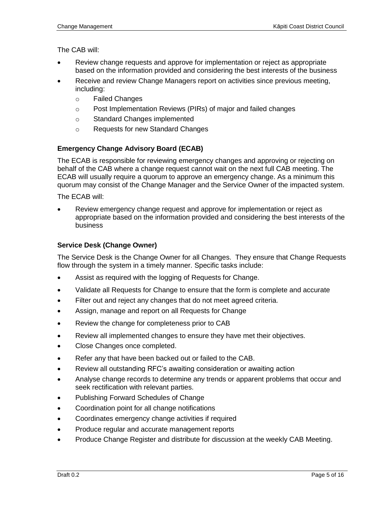The CAB will:

- Review change requests and approve for implementation or reject as appropriate based on the information provided and considering the best interests of the business
- Receive and review Change Managers report on activities since previous meeting, including:
	- o Failed Changes
	- o Post Implementation Reviews (PIRs) of major and failed changes
	- o Standard Changes implemented
	- o Requests for new Standard Changes

#### **Emergency Change Advisory Board (ECAB)**

The ECAB is responsible for reviewing emergency changes and approving or rejecting on behalf of the CAB where a change request cannot wait on the next full CAB meeting. The ECAB will usually require a quorum to approve an emergency change. As a minimum this quorum may consist of the Change Manager and the Service Owner of the impacted system.

The ECAB will:

 Review emergency change request and approve for implementation or reject as appropriate based on the information provided and considering the best interests of the business

#### **Service Desk (Change Owner)**

The Service Desk is the Change Owner for all Changes. They ensure that Change Requests flow through the system in a timely manner. Specific tasks include:

- Assist as required with the logging of Requests for Change.
- Validate all Requests for Change to ensure that the form is complete and accurate
- Filter out and reject any changes that do not meet agreed criteria.
- Assign, manage and report on all Requests for Change
- Review the change for completeness prior to CAB
- Review all implemented changes to ensure they have met their objectives.
- Close Changes once completed.
- Refer any that have been backed out or failed to the CAB.
- Review all outstanding RFC's awaiting consideration or awaiting action
- Analyse change records to determine any trends or apparent problems that occur and seek rectification with relevant parties.
- Publishing Forward Schedules of Change
- Coordination point for all change notifications
- Coordinates emergency change activities if required
- Produce regular and accurate management reports
- Produce Change Register and distribute for discussion at the weekly CAB Meeting.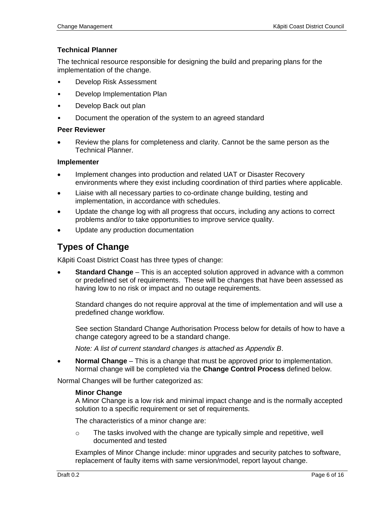#### **Technical Planner**

The technical resource responsible for designing the build and preparing plans for the implementation of the change.

- Develop Risk Assessment
- Develop Implementation Plan
- Develop Back out plan
- Document the operation of the system to an agreed standard

#### **Peer Reviewer**

 Review the plans for completeness and clarity. Cannot be the same person as the Technical Planner.

#### **Implementer**

- Implement changes into production and related UAT or Disaster Recovery environments where they exist including coordination of third parties where applicable.
- Liaise with all necessary parties to co-ordinate change building, testing and implementation, in accordance with schedules.
- Update the change log with all progress that occurs, including any actions to correct problems and/or to take opportunities to improve service quality.
- Update any production documentation

#### **Types of Change**

Kāpiti Coast District Coast has three types of change:

 **Standard Change** – This is an accepted solution approved in advance with a common or predefined set of requirements. These will be changes that have been assessed as having low to no risk or impact and no outage requirements.

Standard changes do not require approval at the time of implementation and will use a predefined change workflow.

See section Standard Change Authorisation Process below for details of how to have a change category agreed to be a standard change.

*Note: A list of current standard changes is attached as Appendix B*.

 **Normal Change** – This is a change that must be approved prior to implementation. Normal change will be completed via the **Change Control Process** defined below.

Normal Changes will be further categorized as:

#### **Minor Change**

A Minor Change is a low risk and minimal impact change and is the normally accepted solution to a specific requirement or set of requirements.

The characteristics of a minor change are:

 $\circ$  The tasks involved with the change are typically simple and repetitive, well documented and tested

Examples of Minor Change include: minor upgrades and security patches to software, replacement of faulty items with same version/model, report layout change.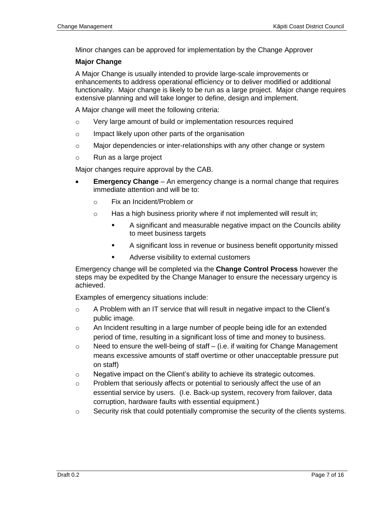Minor changes can be approved for implementation by the Change Approver

#### **Major Change**

A Major Change is usually intended to provide large-scale improvements or enhancements to address operational efficiency or to deliver modified or additional functionality. Major change is likely to be run as a large project. Major change requires extensive planning and will take longer to define, design and implement.

A Major change will meet the following criteria:

- o Very large amount of build or implementation resources required
- o Impact likely upon other parts of the organisation
- $\circ$  Major dependencies or inter-relationships with any other change or system
- o Run as a large project

Major changes require approval by the CAB.

- **Emergency Change** An emergency change is a normal change that requires immediate attention and will be to:
	- o Fix an Incident/Problem or
	- $\circ$  Has a high business priority where if not implemented will result in;
		- A significant and measurable negative impact on the Councils ability to meet business targets
		- A significant loss in revenue or business benefit opportunity missed
		- **Adverse visibility to external customers**

Emergency change will be completed via the **Change Control Process** however the steps may be expedited by the Change Manager to ensure the necessary urgency is achieved.

Examples of emergency situations include:

- $\circ$  A Problem with an IT service that will result in negative impact to the Client's public image.
- $\circ$  An Incident resulting in a large number of people being idle for an extended period of time, resulting in a significant loss of time and money to business.
- $\circ$  Need to ensure the well-being of staff (i.e. if waiting for Change Management means excessive amounts of staff overtime or other unacceptable pressure put on staff)
- $\circ$  Negative impact on the Client's ability to achieve its strategic outcomes.
- $\circ$  Problem that seriously affects or potential to seriously affect the use of an essential service by users. (I.e. Back-up system, recovery from failover, data corruption, hardware faults with essential equipment.)
- $\circ$  Security risk that could potentially compromise the security of the clients systems.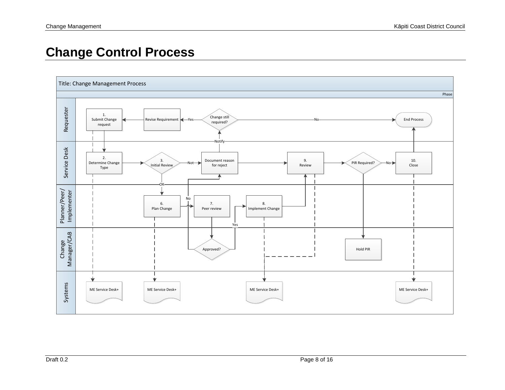# **Change Control Process**

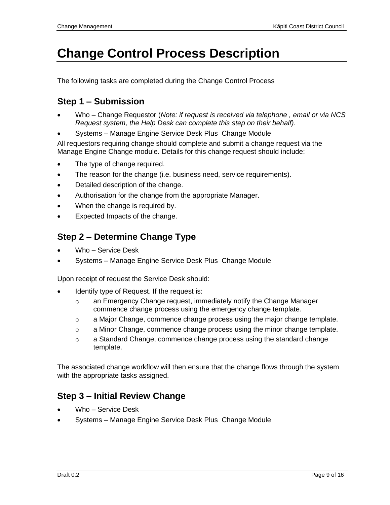# **Change Control Process Description**

The following tasks are completed during the Change Control Process

### **Step 1 – Submission**

- Who Change Requestor (*Note: if request is received via telephone , email or via NCS Request system, the Help Desk can complete this step on their behalf)*.
- Systems Manage Engine Service Desk Plus Change Module

All requestors requiring change should complete and submit a change request via the Manage Engine Change module. Details for this change request should include:

- The type of change required.
- The reason for the change (i.e. business need, service requirements).
- Detailed description of the change.
- Authorisation for the change from the appropriate Manager.
- When the change is required by.
- Expected Impacts of the change.

#### **Step 2 – Determine Change Type**

- Who Service Desk
- Systems Manage Engine Service Desk Plus Change Module

Upon receipt of request the Service Desk should:

- Identify type of Request. If the request is:
	- o an Emergency Change request, immediately notify the Change Manager commence change process using the emergency change template.
	- $\circ$  a Major Change, commence change process using the major change template.
	- $\circ$  a Minor Change, commence change process using the minor change template.
	- $\circ$  a Standard Change, commence change process using the standard change template.

The associated change workflow will then ensure that the change flows through the system with the appropriate tasks assigned.

#### **Step 3 – Initial Review Change**

- Who Service Desk
- Systems Manage Engine Service Desk Plus Change Module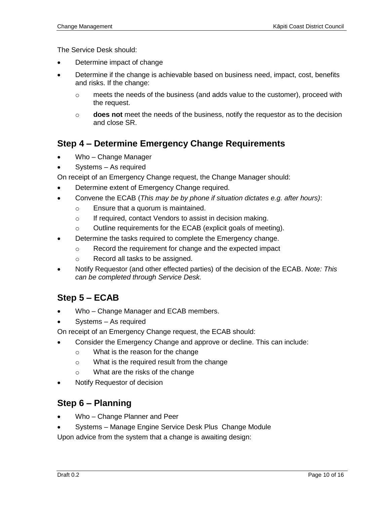The Service Desk should:

- Determine impact of change
- Determine if the change is achievable based on business need, impact, cost, benefits and risks. If the change:
	- $\circ$  meets the needs of the business (and adds value to the customer), proceed with the request.
	- o **does not** meet the needs of the business, notify the requestor as to the decision and close SR.

#### **Step 4 – Determine Emergency Change Requirements**

- Who Change Manager
- Systems As required
- On receipt of an Emergency Change request, the Change Manager should:
- Determine extent of Emergency Change required.
- Convene the ECAB (*This may be by phone if situation dictates e.g. after hours)*:
	- o Ensure that a quorum is maintained.
	- o If required, contact Vendors to assist in decision making.
	- o Outline requirements for the ECAB (explicit goals of meeting).
- Determine the tasks required to complete the Emergency change.
	- o Record the requirement for change and the expected impact
	- o Record all tasks to be assigned.
- Notify Requestor (and other effected parties) of the decision of the ECAB. *Note: This can be completed through Service Desk.*

# **Step 5 – ECAB**

- Who Change Manager and ECAB members.
- Systems As required

On receipt of an Emergency Change request, the ECAB should:

- Consider the Emergency Change and approve or decline. This can include:
	- o What is the reason for the change
	- o What is the required result from the change
	- o What are the risks of the change
- Notify Requestor of decision

# **Step 6 – Planning**

- Who Change Planner and Peer
- Systems Manage Engine Service Desk Plus Change Module

Upon advice from the system that a change is awaiting design: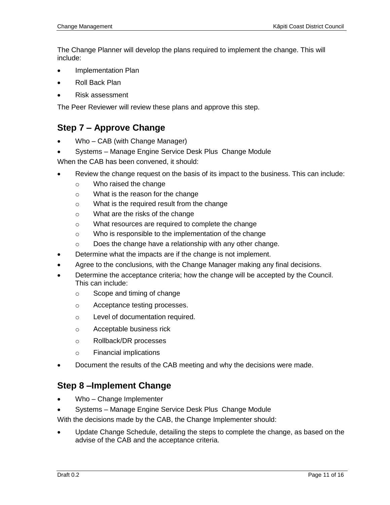The Change Planner will develop the plans required to implement the change. This will include:

- Implementation Plan
- Roll Back Plan
- Risk assessment

The Peer Reviewer will review these plans and approve this step.

#### **Step 7 – Approve Change**

- Who CAB (with Change Manager)
- Systems Manage Engine Service Desk Plus Change Module

When the CAB has been convened, it should:

- Review the change request on the basis of its impact to the business. This can include:
	- o Who raised the change
	- o What is the reason for the change
	- o What is the required result from the change
	- o What are the risks of the change
	- o What resources are required to complete the change
	- o Who is responsible to the implementation of the change
	- o Does the change have a relationship with any other change.
- Determine what the impacts are if the change is not implement.
- Agree to the conclusions, with the Change Manager making any final decisions.
- Determine the acceptance criteria; how the change will be accepted by the Council. This can include:
	- o Scope and timing of change
	- o Acceptance testing processes.
	- o Level of documentation required.
	- o Acceptable business rick
	- o Rollback/DR processes
	- o Financial implications
- Document the results of the CAB meeting and why the decisions were made.

#### **Step 8 –Implement Change**

- Who Change Implementer
- Systems Manage Engine Service Desk Plus Change Module

With the decisions made by the CAB, the Change Implementer should:

 Update Change Schedule, detailing the steps to complete the change, as based on the advise of the CAB and the acceptance criteria.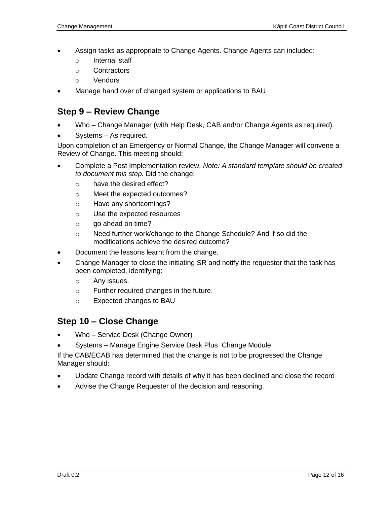- Assign tasks as appropriate to Change Agents. Change Agents can included:
	- o Internal staff
	- o Contractors
	- o Vendors
- Manage hand over of changed system or applications to BAU

#### **Step 9 – Review Change**

- Who Change Manager (with Help Desk, CAB and/or Change Agents as required).
- Systems As required.

Upon completion of an Emergency or Normal Change, the Change Manager will convene a Review of Change. This meeting should:

- Complete a Post Implementation review. *Note: A standard template should be created to document this step.* Did the change:
	- o have the desired effect?
	- o Meet the expected outcomes?
	- o Have any shortcomings?
	- o Use the expected resources
	- o go ahead on time?
	- o Need further work/change to the Change Schedule? And if so did the modifications achieve the desired outcome?
- Document the lessons learnt from the change.
- Change Manager to close the initiating SR and notify the requestor that the task has been completed, identifying:
	- o Any issues.
	- o Further required changes in the future.
	- o Expected changes to BAU

#### **Step 10 – Close Change**

- Who Service Desk (Change Owner)
- Systems Manage Engine Service Desk Plus Change Module

If the CAB/ECAB has determined that the change is not to be progressed the Change Manager should:

- Update Change record with details of why it has been declined and close the record
- Advise the Change Requester of the decision and reasoning.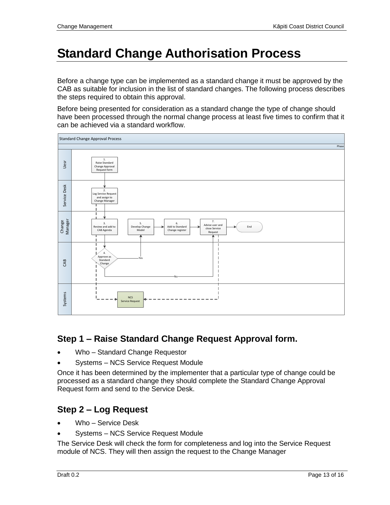# **Standard Change Authorisation Process**

Before a change type can be implemented as a standard change it must be approved by the CAB as suitable for inclusion in the list of standard changes. The following process describes the steps required to obtain this approval.

Before being presented for consideration as a standard change the type of change should have been processed through the normal change process at least five times to confirm that it can be achieved via a standard workflow.



# **Step 1 – Raise Standard Change Request Approval form.**

- Who Standard Change Requestor
- Systems NCS Service Request Module

Once it has been determined by the implementer that a particular type of change could be processed as a standard change they should complete the Standard Change Approval Request form and send to the Service Desk.

# **Step 2 – Log Request**

- Who Service Desk
- Systems NCS Service Request Module

The Service Desk will check the form for completeness and log into the Service Request module of NCS. They will then assign the request to the Change Manager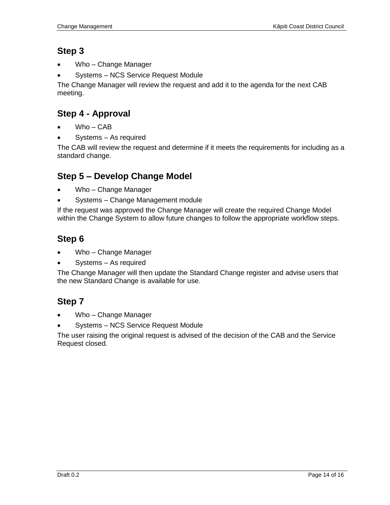#### **Step 3**

- Who Change Manager
- Systems NCS Service Request Module

The Change Manager will review the request and add it to the agenda for the next CAB meeting.

# **Step 4 - Approval**

- Who CAB
- Systems As required

The CAB will review the request and determine if it meets the requirements for including as a standard change.

#### **Step 5 – Develop Change Model**

- Who Change Manager
- Systems Change Management module

If the request was approved the Change Manager will create the required Change Model within the Change System to allow future changes to follow the appropriate workflow steps.

# **Step 6**

- Who Change Manager
- Systems As required

The Change Manager will then update the Standard Change register and advise users that the new Standard Change is available for use.

# **Step 7**

- Who Change Manager
- Systems NCS Service Request Module

The user raising the original request is advised of the decision of the CAB and the Service Request closed.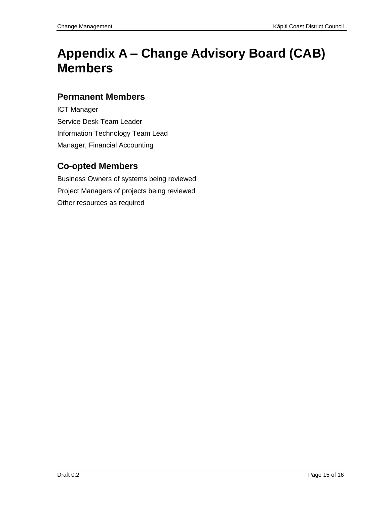# **Appendix A – Change Advisory Board (CAB) Members**

#### **Permanent Members**

ICT Manager Service Desk Team Leader Information Technology Team Lead Manager, Financial Accounting

# **Co-opted Members**

Business Owners of systems being reviewed Project Managers of projects being reviewed Other resources as required